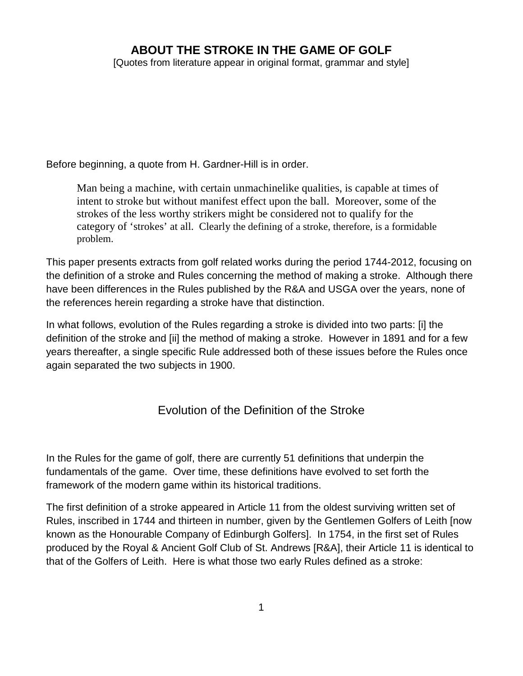# **ABOUT THE STROKE IN THE GAME OF GOLF**

[Quotes from literature appear in original format, grammar and style]

Before beginning, a quote from H. Gardner-Hill is in order.

Man being a machine, with certain unmachinelike qualities, is capable at times of intent to stroke but without manifest effect upon the ball. Moreover, some of the strokes of the less worthy strikers might be considered not to qualify for the category of 'strokes' at all. Clearly the defining of a stroke, therefore, is a formidable problem.

This paper presents extracts from golf related works during the period 1744-2012, focusing on the definition of a stroke and Rules concerning the method of making a stroke. Although there have been differences in the Rules published by the R&A and USGA over the years, none of the references herein regarding a stroke have that distinction.

In what follows, evolution of the Rules regarding a stroke is divided into two parts: [i] the definition of the stroke and [ii] the method of making a stroke. However in 1891 and for a few years thereafter, a single specific Rule addressed both of these issues before the Rules once again separated the two subjects in 1900.

# Evolution of the Definition of the Stroke

In the Rules for the game of golf, there are currently 51 definitions that underpin the fundamentals of the game. Over time, these definitions have evolved to set forth the framework of the modern game within its historical traditions.

The first definition of a stroke appeared in Article 11 from the oldest surviving written set of Rules, inscribed in 1744 and thirteen in number, given by the Gentlemen Golfers of Leith [now known as the Honourable Company of Edinburgh Golfers]. In 1754, in the first set of Rules produced by the Royal & Ancient Golf Club of St. Andrews [R&A], their Article 11 is identical to that of the Golfers of Leith. Here is what those two early Rules defined as a stroke: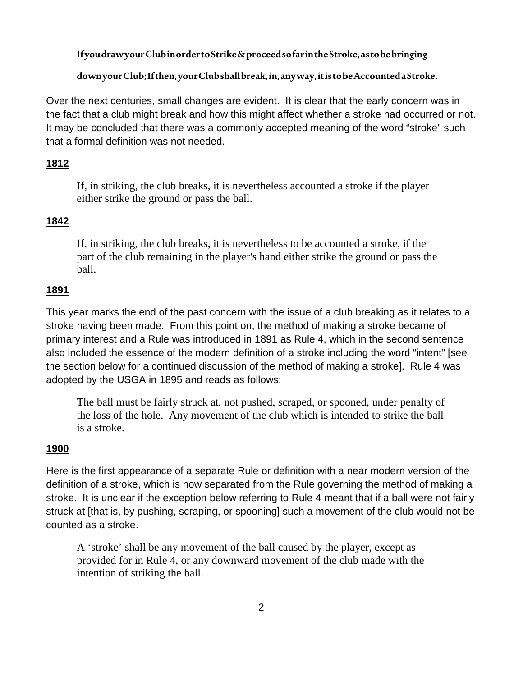### **If you draw your Club in order to Strike & proceed so far in the Stroke, as to be bringing**

### **down your Club; If then, your Club shall break, in, any way, it is to be Accounted a Stroke.**

Over the next centuries, small changes are evident. It is clear that the early concern was in the fact that a club might break and how this might affect whether a stroke had occurred or not. It may be concluded that there was a commonly accepted meaning of the word "stroke" such that a formal definition was not needed.

### **1812**

If, in striking, the club breaks, it is nevertheless accounted a stroke if the player either strike the ground or pass the ball.

### **1842**

If, in striking, the club breaks, it is nevertheless to be accounted a stroke, if the part of the club remaining in the player's hand either strike the ground or pass the ball.

### **1891**

This year marks the end of the past concern with the issue of a club breaking as it relates to a stroke having been made. From this point on, the method of making a stroke became of primary interest and a Rule was introduced in 1891 as Rule 4, which in the second sentence also included the essence of the modern definition of a stroke including the word "intent" [see the section below for a continued discussion of the method of making a stroke]. Rule 4 was adopted by the USGA in 1895 and reads as follows:

The ball must be fairly struck at, not pushed, scraped, or spooned, under penalty of the loss of the hole. Any movement of the club which is intended to strike the ball is a stroke.

### **1900**

Here is the first appearance of a separate Rule or definition with a near modern version of the definition of a stroke, which is now separated from the Rule governing the method of making a stroke. It is unclear if the exception below referring to Rule 4 meant that if a ball were not fairly struck at [that is, by pushing, scraping, or spooning] such a movement of the club would not be counted as a stroke.

A 'stroke' shall be any movement of the ball caused by the player, except as provided for in Rule 4, or any downward movement of the club made with the intention of striking the ball.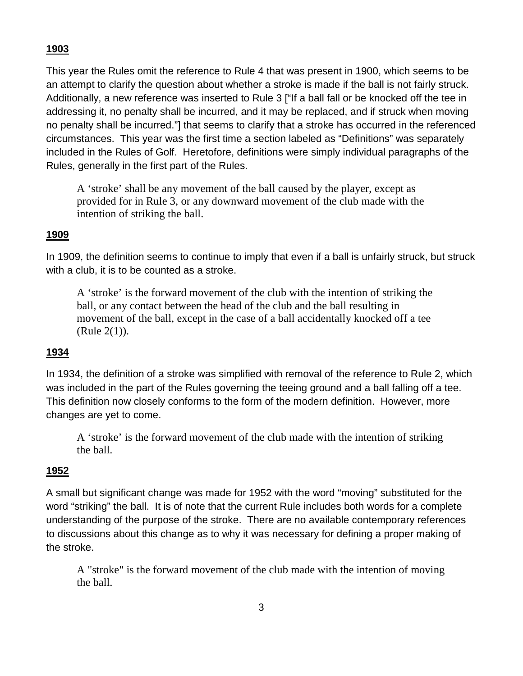## **1903**

This year the Rules omit the reference to Rule 4 that was present in 1900, which seems to be an attempt to clarify the question about whether a stroke is made if the ball is not fairly struck. Additionally, a new reference was inserted to Rule 3 ["If a ball fall or be knocked off the tee in [addressing](http://www.ruleshistory.com/rules1902.html#address) it, no penalty shall be incurred, and it may be replaced, and if struck when moving no penalty shall be incurred."] that seems to clarify that a stroke has occurred in the referenced circumstances. This year was the first time a section labeled as "Definitions" was separately included in the Rules of Golf. Heretofore, definitions were simply individual paragraphs of the Rules, generally in the first part of the Rules.

A 'stroke' shall be any movement of the ball caused by the player, except as provided for in Rule [3,](http://www.ruleshistory.com/rules1902.html#3) or any downward movement of the club made with the intention of striking the ball.

## **1909**

In 1909, the definition seems to continue to imply that even if a ball is unfairly struck, but struck with a club, it is to be counted as a stroke.

A 'stroke' is the forward movement of the club with the intention of striking the ball, or any contact between the head of the club and the ball resulting in movement of the ball, except in the case of a ball accidentally knocked off a tee (Rule [2\(1\)\)](http://www.ruleshistory.com/rules1908.html#2).

## **1934**

In 1934, the definition of a stroke was simplified with removal of the reference to Rule 2, which was included in the part of the Rules governing the teeing ground and a ball falling off a tee. This definition now closely conforms to the form of the modern definition. However, more changes are yet to come.

A 'stroke' is the forward movement of the club made with the intention of striking the ball.

# **1952**

A small but significant change was made for 1952 with the word "moving" substituted for the word "striking" the ball. It is of note that the current Rule includes both words for a complete understanding of the purpose of the stroke. There are no available contemporary references to discussions about this change as to why it was necessary for defining a proper making of the stroke.

A "stroke" is the forward movement of the club made with the intention of moving the ball.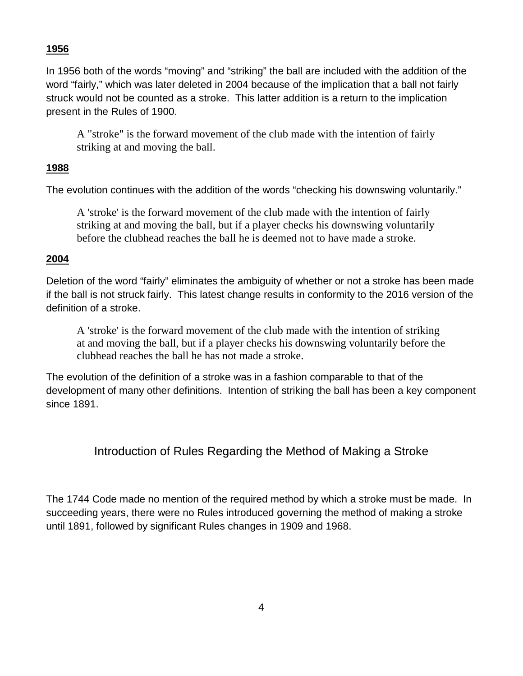## **1956**

In 1956 both of the words "moving" and "striking" the ball are included with the addition of the word "fairly," which was later deleted in 2004 because of the implication that a ball not fairly struck would not be counted as a stroke. This latter addition is a return to the implication present in the Rules of 1900.

A "stroke" is the forward movement of the club made with the intention of fairly striking at and moving the ball.

## **1988**

The evolution continues with the addition of the words "checking his downswing voluntarily."

A 'stroke' is the forward movement of the club made with the intention of fairly striking at and moving the ball, but if a player checks his downswing voluntarily before the clubhead reaches the ball he is deemed not to have made a stroke.

## **2004**

Deletion of the word "fairly" eliminates the ambiguity of whether or not a stroke has been made if the ball is not struck fairly. This latest change results in conformity to the 2016 version of the definition of a stroke.

A 'stroke' is the forward movement of the club made with the intention of striking at and moving the ball, but if a player checks his downswing voluntarily before the clubhead reaches the ball he has not made a stroke.

The evolution of the definition of a stroke was in a fashion comparable to that of the development of many other definitions. Intention of striking the ball has been a key component since 1891.

# Introduction of Rules Regarding the Method of Making a Stroke

The 1744 Code made no mention of the required method by which a stroke must be made. In succeeding years, there were no Rules introduced governing the method of making a stroke until 1891, followed by significant Rules changes in 1909 and 1968.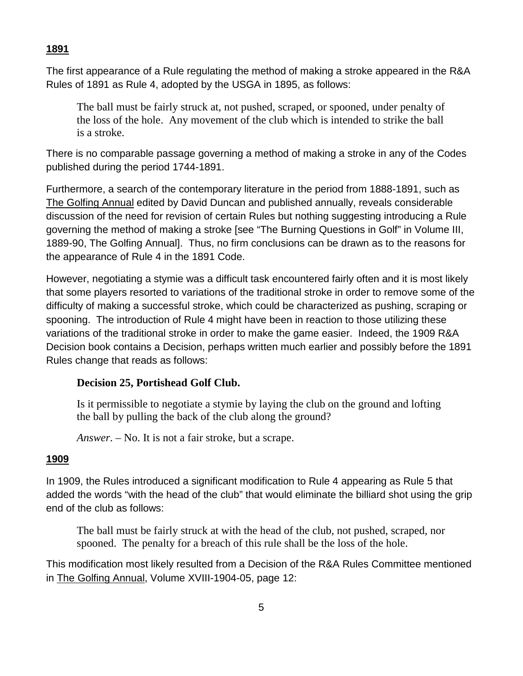### **1891**

The first appearance of a Rule regulating the method of making a stroke appeared in the R&A Rules of 1891 as Rule 4, adopted by the USGA in 1895, as follows:

The ball must be fairly struck at, not pushed, scraped, or spooned, under penalty of the loss of the hole. Any movement of the club which is intended to strike the ball is a stroke.

There is no comparable passage governing a method of making a stroke in any of the Codes published during the period 1744-1891.

Furthermore, a search of the contemporary literature in the period from 1888-1891, such as The Golfing Annual edited by David Duncan and published annually, reveals considerable discussion of the need for revision of certain Rules but nothing suggesting introducing a Rule governing the method of making a stroke [see "The Burning Questions in Golf" in Volume III, 1889-90, The Golfing Annual]. Thus, no firm conclusions can be drawn as to the reasons for the appearance of Rule 4 in the 1891 Code.

However, negotiating a stymie was a difficult task encountered fairly often and it is most likely that some players resorted to variations of the traditional stroke in order to remove some of the difficulty of making a successful stroke, which could be characterized as pushing, scraping or spooning. The introduction of Rule 4 might have been in reaction to those utilizing these variations of the traditional stroke in order to make the game easier. Indeed, the 1909 R&A Decision book contains a Decision, perhaps written much earlier and possibly before the 1891 Rules change that reads as follows:

#### **Decision 25, Portishead Golf Club.**

Is it permissible to negotiate a stymie by laying the club on the ground and lofting the ball by pulling the back of the club along the ground?

*Answer*. – No. It is not a fair stroke, but a scrape.

#### **1909**

In 1909, the Rules introduced a significant modification to Rule 4 appearing as Rule 5 that added the words "with the head of the club" that would eliminate the billiard shot using the grip end of the club as follows:

The ball must be fairly struck at with the head of the club, not pushed, scraped, nor spooned. The penalty for a breach of this rule shall be the loss of the hole.

This modification most likely resulted from a Decision of the R&A Rules Committee mentioned in The Golfing Annual, Volume XVIII-1904-05, page 12: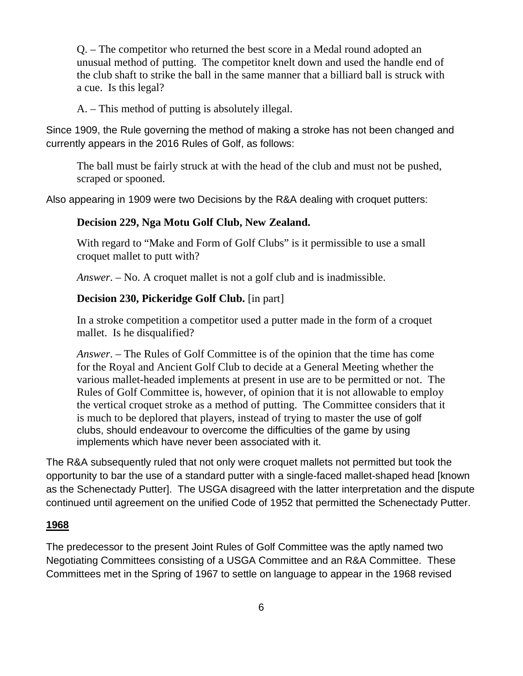Q. – The competitor who returned the best score in a Medal round adopted an unusual method of putting. The competitor knelt down and used the handle end of the club shaft to strike the ball in the same manner that a billiard ball is struck with a cue. Is this legal?

A. – This method of putting is absolutely illegal.

Since 1909, the Rule governing the method of making a stroke has not been changed and currently appears in the 2016 Rules of Golf, as follows:

The ball must be fairly struck at with the head of the club and must not be pushed, scraped or spooned.

Also appearing in 1909 were two Decisions by the R&A dealing with croquet putters:

### **Decision 229, Nga Motu Golf Club, New Zealand.**

With regard to "Make and Form of Golf Clubs" is it permissible to use a small croquet mallet to putt with?

*Answer*. – No. A croquet mallet is not a golf club and is inadmissible.

### **Decision 230, Pickeridge Golf Club.** [in part]

In a stroke competition a competitor used a putter made in the form of a croquet mallet. Is he disqualified?

*Answer*. – The Rules of Golf Committee is of the opinion that the time has come for the Royal and Ancient Golf Club to decide at a General Meeting whether the various mallet-headed implements at present in use are to be permitted or not. The Rules of Golf Committee is, however, of opinion that it is not allowable to employ the vertical croquet stroke as a method of putting. The Committee considers that it is much to be deplored that players, instead of trying to master the use of golf clubs, should endeavour to overcome the difficulties of the game by using implements which have never been associated with it.

The R&A subsequently ruled that not only were croquet mallets not permitted but took the opportunity to bar the use of a standard putter with a single-faced mallet-shaped head [known as the Schenectady Putter]. The USGA disagreed with the latter interpretation and the dispute continued until agreement on the unified Code of 1952 that permitted the Schenectady Putter.

#### **1968**

The predecessor to the present Joint Rules of Golf Committee was the aptly named two Negotiating Committees consisting of a USGA Committee and an R&A Committee. These Committees met in the Spring of 1967 to settle on language to appear in the 1968 revised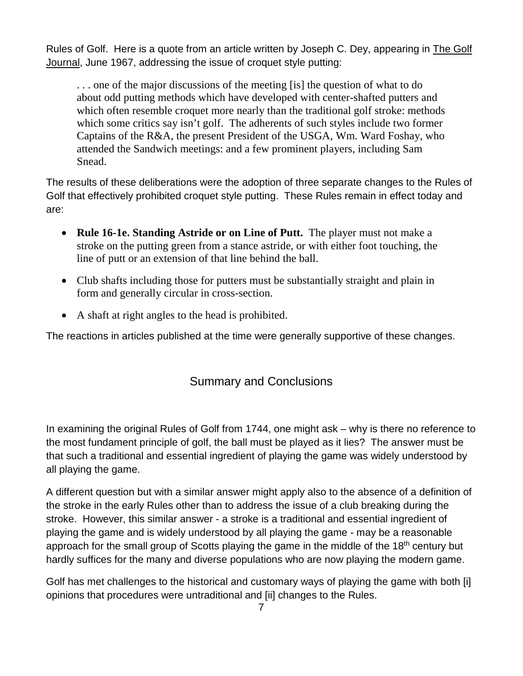Rules of Golf. Here is a quote from an article written by Joseph C. Dey, appearing in The Golf Journal, June 1967, addressing the issue of croquet style putting:

. . . one of the major discussions of the meeting [is] the question of what to do about odd putting methods which have developed with center-shafted putters and which often resemble croquet more nearly than the traditional golf stroke: methods which some critics say isn't golf. The adherents of such styles include two former Captains of the R&A, the present President of the USGA, Wm. Ward Foshay, who attended the Sandwich meetings: and a few prominent players, including Sam Snead.

The results of these deliberations were the adoption of three separate changes to the Rules of Golf that effectively prohibited croquet style putting. These Rules remain in effect today and are:

- **Rule 16-1e. Standing Astride or on Line of Putt.** The player must not make a stroke on the putting green from a stance astride, or with either foot touching, the line of putt or an extension of that line behind the ball.
- Club shafts including those for putters must be substantially straight and plain in form and generally circular in cross-section.
- A shaft at right angles to the head is prohibited.

The reactions in articles published at the time were generally supportive of these changes.

# Summary and Conclusions

In examining the original Rules of Golf from 1744, one might ask – why is there no reference to the most fundament principle of golf, the ball must be played as it lies? The answer must be that such a traditional and essential ingredient of playing the game was widely understood by all playing the game.

A different question but with a similar answer might apply also to the absence of a definition of the stroke in the early Rules other than to address the issue of a club breaking during the stroke. However, this similar answer - a stroke is a traditional and essential ingredient of playing the game and is widely understood by all playing the game - may be a reasonable approach for the small group of Scotts playing the game in the middle of the 18<sup>th</sup> century but hardly suffices for the many and diverse populations who are now playing the modern game.

Golf has met challenges to the historical and customary ways of playing the game with both [i] opinions that procedures were untraditional and [ii] changes to the Rules.